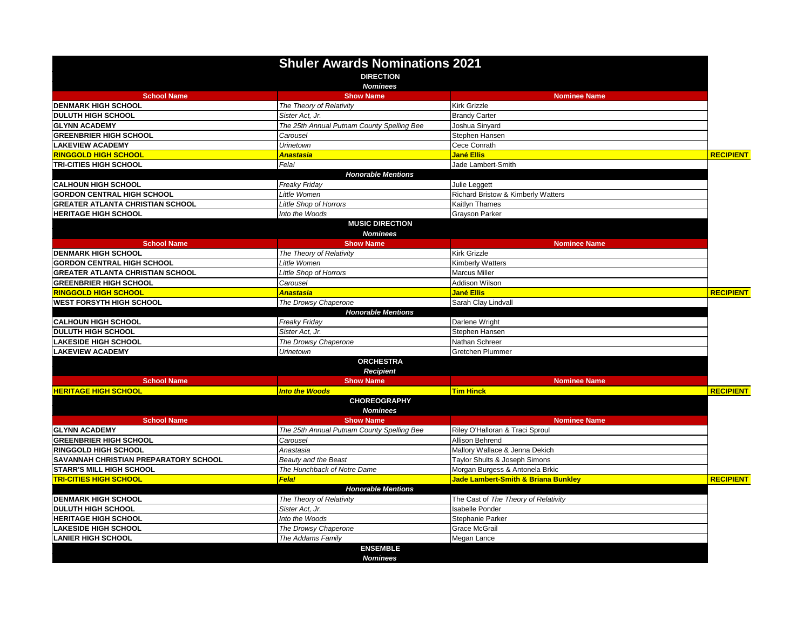|                                         | <b>Shuler Awards Nominations 2021</b><br><b>DIRECTION</b><br><b>Nominees</b> |                                                |                  |
|-----------------------------------------|------------------------------------------------------------------------------|------------------------------------------------|------------------|
| <b>School Name</b>                      | <b>Show Name</b>                                                             | <b>Nominee Name</b>                            |                  |
| <b>DENMARK HIGH SCHOOL</b>              | The Theory of Relativity                                                     | Kirk Grizzle                                   |                  |
| <b>DULUTH HIGH SCHOOL</b>               | Sister Act, Jr.                                                              | <b>Brandy Carter</b>                           |                  |
| <b>GLYNN ACADEMY</b>                    | The 25th Annual Putnam County Spelling Bee                                   | Joshua Sinyard                                 |                  |
| <b>GREENBRIER HIGH SCHOOL</b>           | Carousel                                                                     | Stephen Hansen                                 |                  |
| <b>LAKEVIEW ACADEMY</b>                 | <b>Urinetown</b>                                                             | Cece Conrath                                   |                  |
| <b>RINGGOLD HIGH SCHOOL</b>             | <b>Anastasia</b>                                                             | <b>Jané Ellis</b>                              | <b>RECIPIENT</b> |
| <b>TRI-CITIES HIGH SCHOOL</b>           | Fela!                                                                        | Jade Lambert-Smith                             |                  |
|                                         | <b>Honorable Mentions</b>                                                    |                                                |                  |
| <b>CALHOUN HIGH SCHOOL</b>              | Freaky Friday                                                                | Julie Leggett                                  |                  |
| <b>GORDON CENTRAL HIGH SCHOOL</b>       | Little Women                                                                 | Richard Bristow & Kimberly Watters             |                  |
| <b>GREATER ATLANTA CHRISTIAN SCHOOL</b> | <b>Little Shop of Horrors</b>                                                | Kaitlyn Thames                                 |                  |
| <b>HERITAGE HIGH SCHOOL</b>             | Into the Woods                                                               | <b>Grayson Parker</b>                          |                  |
|                                         | <b>MUSIC DIRECTION</b>                                                       |                                                |                  |
|                                         | <b>Nominees</b>                                                              |                                                |                  |
| <b>School Name</b>                      | <b>Show Name</b>                                                             | <b>Nominee Name</b>                            |                  |
| <b>DENMARK HIGH SCHOOL</b>              | The Theory of Relativity                                                     | <b>Kirk Grizzle</b>                            |                  |
| <b>GORDON CENTRAL HIGH SCHOOL</b>       | Little Women                                                                 | Kimberly Watters                               |                  |
| <b>GREATER ATLANTA CHRISTIAN SCHOOL</b> | <b>Little Shop of Horrors</b>                                                | <b>Marcus Miller</b>                           |                  |
| <b>GREENBRIER HIGH SCHOOL</b>           | Carousel                                                                     | Addison Wilson                                 |                  |
| <b>RINGGOLD HIGH SCHOOL</b>             | <b>Anastasia</b>                                                             | <b>Jané Ellis</b>                              | <b>RECIPIENT</b> |
| <b>WEST FORSYTH HIGH SCHOOL</b>         | The Drowsy Chaperone                                                         | Sarah Clay Lindvall                            |                  |
|                                         | <b>Honorable Mentions</b>                                                    |                                                |                  |
| <b>CALHOUN HIGH SCHOOL</b>              | Freaky Friday                                                                | Darlene Wright                                 |                  |
| <b>DULUTH HIGH SCHOOL</b>               | Sister Act, Jr.                                                              | Stephen Hansen                                 |                  |
| <b>LAKESIDE HIGH SCHOOL</b>             | The Drowsy Chaperone                                                         | Nathan Schreer                                 |                  |
| <b>LAKEVIEW ACADEMY</b>                 | Urinetown                                                                    | Gretchen Plummer                               |                  |
|                                         | <b>ORCHESTRA</b>                                                             |                                                |                  |
|                                         | <b>Recipient</b>                                                             |                                                |                  |
| <b>School Name</b>                      | <b>Show Name</b>                                                             | <b>Nominee Name</b>                            |                  |
| <b>HERITAGE HIGH SCHOOL</b>             | <b>Into the Woods</b>                                                        | <b>Tim Hinck</b>                               | <b>RECIPIENT</b> |
|                                         | <b>CHOREOGRAPHY</b><br><b>Nominees</b>                                       |                                                |                  |
| <b>School Name</b>                      | <b>Show Name</b>                                                             | <b>Nominee Name</b>                            |                  |
| <b>GLYNN ACADEMY</b>                    | The 25th Annual Putnam County Spelling Bee                                   | Riley O'Halloran & Traci Sproul                |                  |
| <b>GREENBRIER HIGH SCHOOL</b>           | Carousel                                                                     | Allison Behrend                                |                  |
| RINGGOLD HIGH SCHOOL                    | Anastasia                                                                    | Mallory Wallace & Jenna Dekich                 |                  |
| SAVANNAH CHRISTIAN PREPARATORY SCHOOL   | Beauty and the Beast                                                         | Taylor Shults & Joseph Simons                  |                  |
| <b>STARR'S MILL HIGH SCHOOL</b>         | The Hunchback of Notre Dame                                                  | Morgan Burgess & Antonela Brkic                |                  |
| <b>TRI-CITIES HIGH SCHOOL</b>           | <b>Fela!</b>                                                                 | <b>Jade Lambert-Smith &amp; Briana Bunkley</b> | <b>RECIPIENT</b> |
|                                         | <b>Honorable Mentions</b>                                                    |                                                |                  |
| <b>DENMARK HIGH SCHOOL</b>              | The Theory of Relativity                                                     | The Cast of The Theory of Relativity           |                  |
| <b>DULUTH HIGH SCHOOL</b>               | Sister Act, Jr.                                                              | <b>Isabelle Ponder</b>                         |                  |
| <b>HERITAGE HIGH SCHOOL</b>             | Into the Woods                                                               | Stephanie Parker                               |                  |
| <b>LAKESIDE HIGH SCHOOL</b>             | The Drowsy Chaperone                                                         | <b>Grace McGrail</b>                           |                  |
| <b>LANIER HIGH SCHOOL</b>               | The Addams Family                                                            | Megan Lance                                    |                  |
|                                         | <b>ENSEMBLE</b><br><b>Nominees</b>                                           |                                                |                  |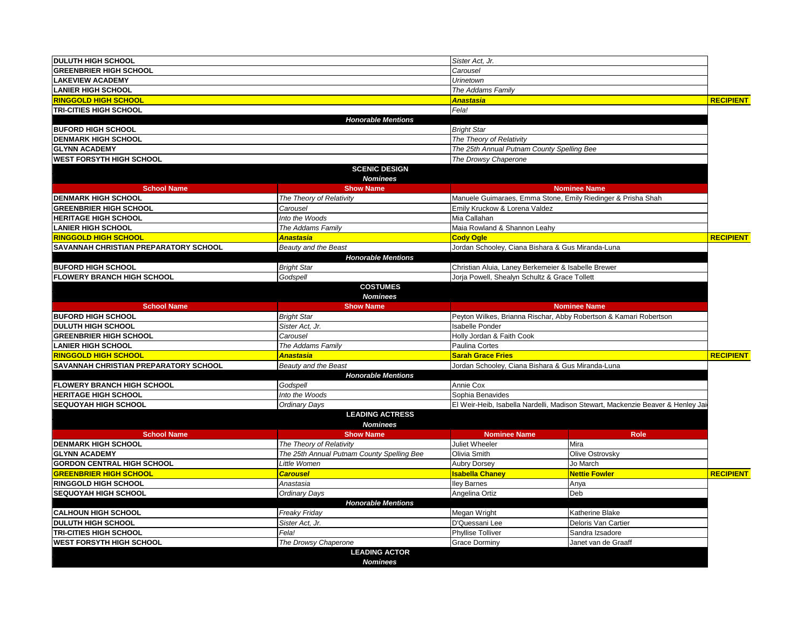| <b>DULUTH HIGH SCHOOL</b>             |                                            | Sister Act, Jr.                                                                 |                      |                  |
|---------------------------------------|--------------------------------------------|---------------------------------------------------------------------------------|----------------------|------------------|
| <b>GREENBRIER HIGH SCHOOL</b>         |                                            | Carousel                                                                        |                      |                  |
| <b>LAKEVIEW ACADEMY</b>               |                                            | Urinetown                                                                       |                      |                  |
| <b>LANIER HIGH SCHOOL</b>             |                                            | The Addams Family                                                               |                      |                  |
| <b>RINGGOLD HIGH SCHOOL</b>           |                                            | <b>Anastasia</b>                                                                |                      | <b>RECIPIENT</b> |
| <b>TRI-CITIES HIGH SCHOOL</b>         |                                            | Fela!                                                                           |                      |                  |
|                                       | <b>Honorable Mentions</b>                  |                                                                                 |                      |                  |
| <b>BUFORD HIGH SCHOOL</b>             |                                            | <b>Bright Star</b>                                                              |                      |                  |
| <b>DENMARK HIGH SCHOOL</b>            |                                            | The Theory of Relativity                                                        |                      |                  |
| <b>GLYNN ACADEMY</b>                  |                                            | The 25th Annual Putnam County Spelling Bee                                      |                      |                  |
| <b>WEST FORSYTH HIGH SCHOOL</b>       |                                            | The Drowsy Chaperone                                                            |                      |                  |
|                                       | <b>SCENIC DESIGN</b><br><b>Nominees</b>    |                                                                                 |                      |                  |
| <b>School Name</b>                    | <b>Show Name</b>                           |                                                                                 | <b>Nominee Name</b>  |                  |
| <b>DENMARK HIGH SCHOOL</b>            | The Theory of Relativity                   | Manuele Guimaraes, Emma Stone, Emily Riedinger & Prisha Shah                    |                      |                  |
| <b>GREENBRIER HIGH SCHOOL</b>         | Carousel                                   | Emily Kruckow & Lorena Valdez                                                   |                      |                  |
| <b>HERITAGE HIGH SCHOOL</b>           | Into the Woods                             | Mia Callahan                                                                    |                      |                  |
| <b>LANIER HIGH SCHOOL</b>             | The Addams Family                          | Maia Rowland & Shannon Leahy                                                    |                      |                  |
| <b>RINGGOLD HIGH SCHOOL</b>           | Anastasia                                  | <b>Cody Ogle</b>                                                                |                      | <b>RECIPIENT</b> |
| SAVANNAH CHRISTIAN PREPARATORY SCHOOL | Beauty and the Beast                       | Jordan Schooley, Ciana Bishara & Gus Miranda-Luna                               |                      |                  |
|                                       | <b>Honorable Mentions</b>                  |                                                                                 |                      |                  |
| <b>BUFORD HIGH SCHOOL</b>             | <b>Bright Star</b>                         | Christian Aluia, Laney Berkemeier & Isabelle Brewer                             |                      |                  |
| <b>FLOWERY BRANCH HIGH SCHOOL</b>     | Godspell                                   | Jorja Powell, Shealyn Schultz & Grace Tollett                                   |                      |                  |
|                                       | <b>COSTUMES</b><br><b>Nominees</b>         |                                                                                 |                      |                  |
| <b>School Name</b>                    | <b>Show Name</b>                           |                                                                                 | <b>Nominee Name</b>  |                  |
| <b>BUFORD HIGH SCHOOL</b>             | <b>Bright Star</b>                         | Peyton Wilkes, Brianna Rischar, Abby Robertson & Kamari Robertson               |                      |                  |
| <b>DULUTH HIGH SCHOOL</b>             | Sister Act, Jr.                            | <b>Isabelle Ponder</b>                                                          |                      |                  |
| <b>GREENBRIER HIGH SCHOOL</b>         | Carousel                                   | Holly Jordan & Faith Cook                                                       |                      |                  |
| <b>LANIER HIGH SCHOOL</b>             | The Addams Family                          | Paulina Cortes                                                                  |                      |                  |
| <b>RINGGOLD HIGH SCHOOL</b>           | Anastasia                                  | <b>Sarah Grace Fries</b>                                                        |                      | <b>RECIPIENT</b> |
| SAVANNAH CHRISTIAN PREPARATORY SCHOOL | Beauty and the Beast                       | Jordan Schooley, Ciana Bishara & Gus Miranda-Luna                               |                      |                  |
|                                       | <b>Honorable Mentions</b>                  |                                                                                 |                      |                  |
| <b>FLOWERY BRANCH HIGH SCHOOL</b>     | Godspell                                   | Annie Cox                                                                       |                      |                  |
| <b>HERITAGE HIGH SCHOOL</b>           | Into the Woods                             | Sophia Benavides                                                                |                      |                  |
| <b>SEQUOYAH HIGH SCHOOL</b>           | Ordinary Days                              | El Weir-Heib, Isabella Nardelli, Madison Stewart, Mackenzie Beaver & Henley Jai |                      |                  |
|                                       | <b>LEADING ACTRESS</b><br><b>Nominees</b>  |                                                                                 |                      |                  |
| <b>School Name</b>                    | <b>Show Name</b>                           | <b>Nominee Name</b>                                                             | Role                 |                  |
| <b>DENMARK HIGH SCHOOL</b>            | The Theory of Relativity                   | Juliet Wheeler                                                                  | Mira                 |                  |
| <b>GLYNN ACADEMY</b>                  | The 25th Annual Putnam County Spelling Bee | Olivia Smith                                                                    | Olive Ostrovsky      |                  |
| <b>GORDON CENTRAL HIGH SCHOOL</b>     | Little Women                               | <b>Aubry Dorsey</b>                                                             | Jo March             |                  |
| <b>GREENBRIER HIGH SCHOOL</b>         | <b>Carousel</b>                            | <b>Isabella Chaney</b>                                                          | <b>Nettie Fowler</b> | <b>RECIPIENT</b> |
| <b>RINGGOLD HIGH SCHOOL</b>           | Anastasia                                  | <b>Iley Barnes</b>                                                              | Anya                 |                  |
| <b>SEQUOYAH HIGH SCHOOL</b>           | <b>Ordinary Days</b>                       | Angelina Ortiz                                                                  | Deb                  |                  |
|                                       | <b>Honorable Mentions</b>                  |                                                                                 |                      |                  |
| <b>CALHOUN HIGH SCHOOL</b>            | Freaky Friday                              | Megan Wright                                                                    | Katherine Blake      |                  |
| <b>DULUTH HIGH SCHOOL</b>             | Sister Act, Jr.                            | D'Quessani Lee                                                                  | Deloris Van Cartier  |                  |
| <b>TRI-CITIES HIGH SCHOOL</b>         | Fela!                                      | <b>Phyllise Tolliver</b>                                                        | Sandra Izsadore      |                  |
| <b>WEST FORSYTH HIGH SCHOOL</b>       | The Drowsy Chaperone                       | <b>Grace Dorminy</b>                                                            | Janet van de Graaff  |                  |
|                                       | <b>LEADING ACTOR</b>                       |                                                                                 |                      |                  |
|                                       | <b>Nominees</b>                            |                                                                                 |                      |                  |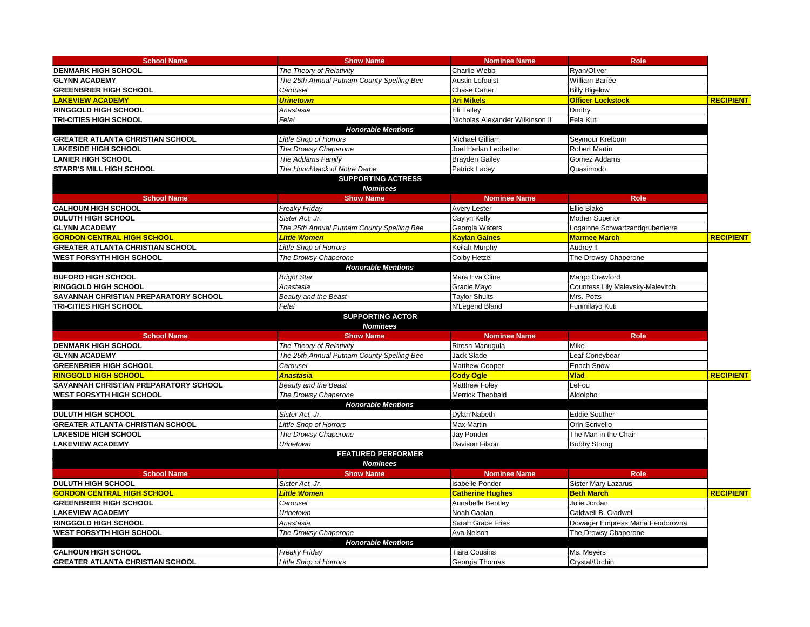| <b>School Name</b>                      | <b>Show Name</b>                                  | <b>Nominee Name</b>             | <b>Role</b>                      |                  |
|-----------------------------------------|---------------------------------------------------|---------------------------------|----------------------------------|------------------|
| <b>DENMARK HIGH SCHOOL</b>              | The Theory of Relativity                          | Charlie Webb                    | Ryan/Oliver                      |                  |
| <b>GLYNN ACADEMY</b>                    | The 25th Annual Putnam County Spelling Bee        | <b>Austin Lofquist</b>          | William Barfée                   |                  |
| <b>GREENBRIER HIGH SCHOOL</b>           | Carousel                                          | <b>Chase Carter</b>             | <b>Billy Bigelow</b>             |                  |
| <b>LAKEVIEW ACADEMY</b>                 | <b>Urinetown</b>                                  | <b>Ari Mikels</b>               | <b>Officer Lockstock</b>         | <b>RECIPIENT</b> |
| <b>RINGGOLD HIGH SCHOOL</b>             | Anastasia                                         | Eli Talley                      | Dmitry                           |                  |
| <b>TRI-CITIES HIGH SCHOOL</b>           | Fela!                                             | Nicholas Alexander Wilkinson II | Fela Kuti                        |                  |
|                                         | <b>Honorable Mentions</b>                         |                                 |                                  |                  |
| <b>GREATER ATLANTA CHRISTIAN SCHOOL</b> | <b>Little Shop of Horrors</b>                     | Michael Gilliam                 | Seymour Krelborn                 |                  |
| <b>LAKESIDE HIGH SCHOOL</b>             | The Drowsy Chaperone                              | Joel Harlan Ledbetter           | <b>Robert Martin</b>             |                  |
| <b>LANIER HIGH SCHOOL</b>               | The Addams Family                                 | <b>Brayden Gailey</b>           | Gomez Addams                     |                  |
| <b>STARR'S MILL HIGH SCHOOL</b>         | The Hunchback of Notre Dame                       | Patrick Lacey                   | Quasimodo                        |                  |
|                                         | <b>SUPPORTING ACTRESS</b>                         |                                 |                                  |                  |
|                                         | <b>Nominees</b>                                   |                                 |                                  |                  |
| <b>School Name</b>                      | <b>Show Name</b>                                  | <b>Nominee Name</b>             | <b>Role</b>                      |                  |
| <b>CALHOUN HIGH SCHOOL</b>              | Freaky Friday                                     | <b>Avery Lester</b>             | Ellie Blake                      |                  |
| <b>DULUTH HIGH SCHOOL</b>               | Sister Act. Jr.                                   | Caylyn Kelly                    | Mother Superior                  |                  |
| <b>GLYNN ACADEMY</b>                    | The 25th Annual Putnam County Spelling Bee        | Georgia Waters                  | Logainne Schwartzandgrubenierre  |                  |
| <b>GORDON CENTRAL HIGH SCHOOL</b>       | <b>Little Women</b>                               | <b>Kaylan Gaines</b>            | <b>Marmee March</b>              | <b>RECIPIENT</b> |
| <b>GREATER ATLANTA CHRISTIAN SCHOOL</b> | Little Shop of Horrors                            | Keilah Murphy                   | Audrey II                        |                  |
| <b>WEST FORSYTH HIGH SCHOOL</b>         | The Drowsy Chaperone                              | <b>Colby Hetzel</b>             | The Drowsy Chaperone             |                  |
|                                         | <b>Honorable Mentions</b>                         |                                 |                                  |                  |
| <b>BUFORD HIGH SCHOOL</b>               | <b>Bright Star</b>                                | Mara Eva Cline                  | Margo Crawford                   |                  |
| <b>RINGGOLD HIGH SCHOOL</b>             | Anastasia                                         | Gracie Mayo                     | Countess Lily Malevsky-Malevitch |                  |
| SAVANNAH CHRISTIAN PREPARATORY SCHOOL   | Beauty and the Beast                              | <b>Taylor Shults</b>            | Mrs. Potts                       |                  |
| <b>TRI-CITIES HIGH SCHOOL</b>           | Fela!                                             | N'Legend Bland                  | Funmilayo Kuti                   |                  |
|                                         | <b>SUPPORTING ACTOR</b><br><b>Nominees</b>        |                                 |                                  |                  |
| <b>School Name</b>                      | <b>Show Name</b>                                  | <b>Nominee Name</b>             | Role                             |                  |
| <b>DENMARK HIGH SCHOOL</b>              | The Theory of Relativity                          | Ritesh Manugula                 | Mike                             |                  |
| <b>GLYNN ACADEMY</b>                    | The 25th Annual Putnam County Spelling Bee        | Jack Slade                      | Leaf Coneybear                   |                  |
| <b>GREENBRIER HIGH SCHOOL</b>           | Carousel                                          | Matthew Cooper                  | Enoch Snow                       |                  |
| <b>RINGGOLD HIGH SCHOOL</b>             | Anastasia                                         | <b>Cody Ogle</b>                | <b>Vlad</b>                      | <b>RECIPIENT</b> |
| SAVANNAH CHRISTIAN PREPARATORY SCHOOL   | Beauty and the Beast                              | <b>Matthew Folev</b>            | LeFou                            |                  |
| <b>WEST FORSYTH HIGH SCHOOL</b>         | The Drowsy Chaperone                              | Merrick Theobald                | Aldolpho                         |                  |
|                                         | <b>Honorable Mentions</b>                         |                                 |                                  |                  |
| <b>IDULUTH HIGH SCHOOL</b>              | Sister Act. Jr.                                   | Dylan Nabeth                    | <b>Eddie Souther</b>             |                  |
| <b>GREATER ATLANTA CHRISTIAN SCHOOL</b> | Little Shop of Horrors                            | Max Martin                      | Orin Scrivello                   |                  |
| <b>LAKESIDE HIGH SCHOOL</b>             | The Drowsy Chaperone                              | Jay Ponder                      | The Man in the Chair             |                  |
| <b>LAKEVIEW ACADEMY</b>                 | Urinetown                                         | Davison Filson                  | <b>Bobby Strong</b>              |                  |
|                                         | <b>FEATURED PERFORMER</b><br><b>Nominees</b>      |                                 |                                  |                  |
| <b>School Name</b>                      | <b>Show Name</b>                                  | <b>Nominee Name</b>             | Role                             |                  |
| <b>IDULUTH HIGH SCHOOL</b>              | Sister Act, Jr.                                   | <b>Isabelle Ponder</b>          | <b>Sister Mary Lazarus</b>       |                  |
| <b>GORDON CENTRAL HIGH SCHOOL</b>       | Little Women                                      | <b>Catherine Hughes</b>         | <b>Beth March</b>                | <b>RECIPIENT</b> |
| <b>GREENBRIER HIGH SCHOOL</b>           | Carousel                                          | Annabelle Bentley               | Julie Jordan                     |                  |
| <b>LAKEVIEW ACADEMY</b>                 |                                                   |                                 |                                  |                  |
|                                         |                                                   | Noah Caplan                     |                                  |                  |
| <b>RINGGOLD HIGH SCHOOL</b>             | Urinetown<br>Anastasia                            |                                 | Caldwell B. Cladwell             |                  |
| <b>WEST FORSYTH HIGH SCHOOL</b>         |                                                   | Sarah Grace Fries<br>Ava Nelson | Dowager Empress Maria Feodorovna |                  |
|                                         | The Drowsy Chaperone<br><b>Honorable Mentions</b> |                                 | The Drowsy Chaperone             |                  |
| <b>CALHOUN HIGH SCHOOL</b>              | <b>Freaky Friday</b>                              | <b>Tiara Cousins</b>            | Ms. Meyers                       |                  |